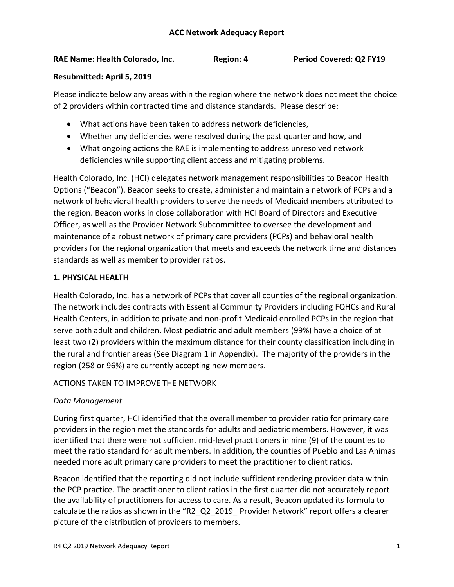## **RAE Name: Health Colorado, Inc. Region: 4 Period Covered: Q2 FY19**

#### **Resubmitted: April 5, 2019**

Please indicate below any areas within the region where the network does not meet the choice of 2 providers within contracted time and distance standards. Please describe:

- What actions have been taken to address network deficiencies,
- Whether any deficiencies were resolved during the past quarter and how, and
- What ongoing actions the RAE is implementing to address unresolved network deficiencies while supporting client access and mitigating problems.

Health Colorado, Inc. (HCI) delegates network management responsibilities to Beacon Health Options ("Beacon"). Beacon seeks to create, administer and maintain a network of PCPs and a network of behavioral health providers to serve the needs of Medicaid members attributed to the region. Beacon works in close collaboration with HCI Board of Directors and Executive Officer, as well as the Provider Network Subcommittee to oversee the development and maintenance of a robust network of primary care providers (PCPs) and behavioral health providers for the regional organization that meets and exceeds the network time and distances standards as well as member to provider ratios.

## **1. PHYSICAL HEALTH**

Health Colorado, Inc. has a network of PCPs that cover all counties of the regional organization. The network includes contracts with Essential Community Providers including FQHCs and Rural Health Centers, in addition to private and non-profit Medicaid enrolled PCPs in the region that serve both adult and children. Most pediatric and adult members (99%) have a choice of at least two (2) providers within the maximum distance for their county classification including in the rural and frontier areas (See Diagram 1 in Appendix). The majority of the providers in the region (258 or 96%) are currently accepting new members.

## ACTIONS TAKEN TO IMPROVE THE NETWORK

## *Data Management*

During first quarter, HCI identified that the overall member to provider ratio for primary care providers in the region met the standards for adults and pediatric members. However, it was identified that there were not sufficient mid-level practitioners in nine (9) of the counties to meet the ratio standard for adult members. In addition, the counties of Pueblo and Las Animas needed more adult primary care providers to meet the practitioner to client ratios.

Beacon identified that the reporting did not include sufficient rendering provider data within the PCP practice. The practitioner to client ratios in the first quarter did not accurately report the availability of practitioners for access to care. As a result, Beacon updated its formula to calculate the ratios as shown in the "R2\_Q2\_2019\_ Provider Network" report offers a clearer picture of the distribution of providers to members.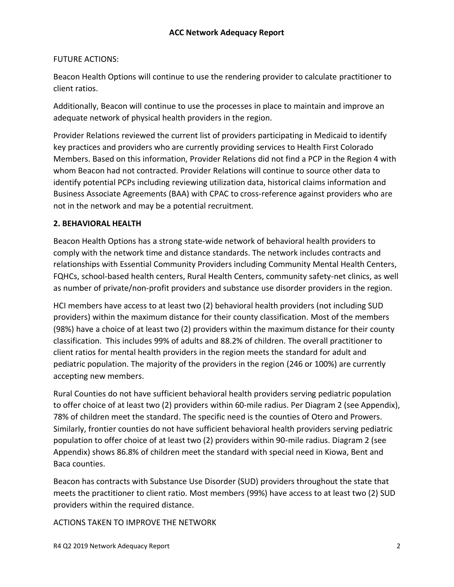### FUTURE ACTIONS:

Beacon Health Options will continue to use the rendering provider to calculate practitioner to client ratios.

Additionally, Beacon will continue to use the processes in place to maintain and improve an adequate network of physical health providers in the region.

Provider Relations reviewed the current list of providers participating in Medicaid to identify key practices and providers who are currently providing services to Health First Colorado Members. Based on this information, Provider Relations did not find a PCP in the Region 4 with whom Beacon had not contracted. Provider Relations will continue to source other data to identify potential PCPs including reviewing utilization data, historical claims information and Business Associate Agreements (BAA) with CPAC to cross-reference against providers who are not in the network and may be a potential recruitment.

#### **2. BEHAVIORAL HEALTH**

Beacon Health Options has a strong state-wide network of behavioral health providers to comply with the network time and distance standards. The network includes contracts and relationships with Essential Community Providers including Community Mental Health Centers, FQHCs, school-based health centers, Rural Health Centers, community safety-net clinics, as well as number of private/non-profit providers and substance use disorder providers in the region.

HCI members have access to at least two (2) behavioral health providers (not including SUD providers) within the maximum distance for their county classification. Most of the members (98%) have a choice of at least two (2) providers within the maximum distance for their county classification. This includes 99% of adults and 88.2% of children. The overall practitioner to client ratios for mental health providers in the region meets the standard for adult and pediatric population. The majority of the providers in the region (246 or 100%) are currently accepting new members.

Rural Counties do not have sufficient behavioral health providers serving pediatric population to offer choice of at least two (2) providers within 60-mile radius. Per Diagram 2 (see Appendix), 78% of children meet the standard. The specific need is the counties of Otero and Prowers. Similarly, frontier counties do not have sufficient behavioral health providers serving pediatric population to offer choice of at least two (2) providers within 90-mile radius. Diagram 2 (see Appendix) shows 86.8% of children meet the standard with special need in Kiowa, Bent and Baca counties.

Beacon has contracts with Substance Use Disorder (SUD) providers throughout the state that meets the practitioner to client ratio. Most members (99%) have access to at least two (2) SUD providers within the required distance.

ACTIONS TAKEN TO IMPROVE THE NETWORK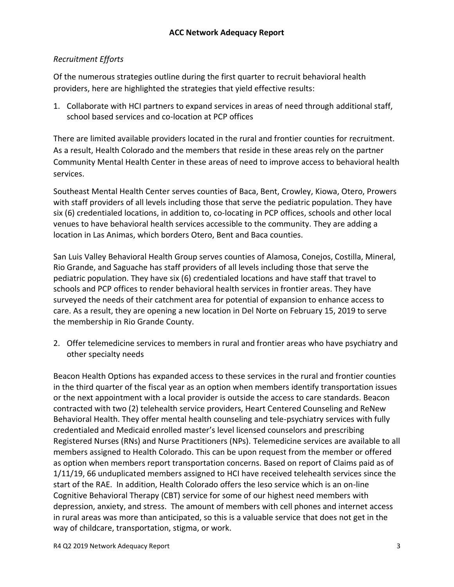# *Recruitment Efforts*

Of the numerous strategies outline during the first quarter to recruit behavioral health providers, here are highlighted the strategies that yield effective results:

1. Collaborate with HCI partners to expand services in areas of need through additional staff, school based services and co-location at PCP offices

There are limited available providers located in the rural and frontier counties for recruitment. As a result, Health Colorado and the members that reside in these areas rely on the partner Community Mental Health Center in these areas of need to improve access to behavioral health services.

Southeast Mental Health Center serves counties of Baca, Bent, Crowley, Kiowa, Otero, Prowers with staff providers of all levels including those that serve the pediatric population. They have six (6) credentialed locations, in addition to, co-locating in PCP offices, schools and other local venues to have behavioral health services accessible to the community. They are adding a location in Las Animas, which borders Otero, Bent and Baca counties.

San Luis Valley Behavioral Health Group serves counties of Alamosa, Conejos, Costilla, Mineral, Rio Grande, and Saguache has staff providers of all levels including those that serve the pediatric population. They have six (6) credentialed locations and have staff that travel to schools and PCP offices to render behavioral health services in frontier areas. They have surveyed the needs of their catchment area for potential of expansion to enhance access to care. As a result, they are opening a new location in Del Norte on February 15, 2019 to serve the membership in Rio Grande County.

2. Offer telemedicine services to members in rural and frontier areas who have psychiatry and other specialty needs

Beacon Health Options has expanded access to these services in the rural and frontier counties in the third quarter of the fiscal year as an option when members identify transportation issues or the next appointment with a local provider is outside the access to care standards. Beacon contracted with two (2) telehealth service providers, Heart Centered Counseling and ReNew Behavioral Health. They offer mental health counseling and tele-psychiatry services with fully credentialed and Medicaid enrolled master's level licensed counselors and prescribing Registered Nurses (RNs) and Nurse Practitioners (NPs). Telemedicine services are available to all members assigned to Health Colorado. This can be upon request from the member or offered as option when members report transportation concerns. Based on report of Claims paid as of 1/11/19, 66 unduplicated members assigned to HCI have received telehealth services since the start of the RAE. In addition, Health Colorado offers the Ieso service which is an on-line Cognitive Behavioral Therapy (CBT) service for some of our highest need members with depression, anxiety, and stress. The amount of members with cell phones and internet access in rural areas was more than anticipated, so this is a valuable service that does not get in the way of childcare, transportation, stigma, or work.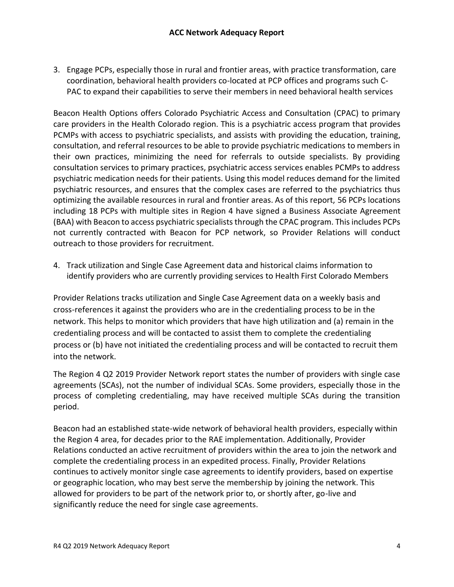3. Engage PCPs, especially those in rural and frontier areas, with practice transformation, care coordination, behavioral health providers co-located at PCP offices and programs such C-PAC to expand their capabilities to serve their members in need behavioral health services

Beacon Health Options offers Colorado Psychiatric Access and Consultation (CPAC) to primary care providers in the Health Colorado region. This is a psychiatric access program that provides PCMPs with access to psychiatric specialists, and assists with providing the education, training, consultation, and referral resources to be able to provide psychiatric medications to members in their own practices, minimizing the need for referrals to outside specialists. By providing consultation services to primary practices, psychiatric access services enables PCMPs to address psychiatric medication needs for their patients. Using this model reduces demand for the limited psychiatric resources, and ensures that the complex cases are referred to the psychiatrics thus optimizing the available resources in rural and frontier areas. As of this report, 56 PCPs locations including 18 PCPs with multiple sites in Region 4 have signed a Business Associate Agreement (BAA) with Beacon to access psychiatric specialists through the CPAC program. This includes PCPs not currently contracted with Beacon for PCP network, so Provider Relations will conduct outreach to those providers for recruitment.

4. Track utilization and Single Case Agreement data and historical claims information to identify providers who are currently providing services to Health First Colorado Members

Provider Relations tracks utilization and Single Case Agreement data on a weekly basis and cross-references it against the providers who are in the credentialing process to be in the network. This helps to monitor which providers that have high utilization and (a) remain in the credentialing process and will be contacted to assist them to complete the credentialing process or (b) have not initiated the credentialing process and will be contacted to recruit them into the network.

The Region 4 Q2 2019 Provider Network report states the number of providers with single case agreements (SCAs), not the number of individual SCAs. Some providers, especially those in the process of completing credentialing, may have received multiple SCAs during the transition period.

Beacon had an established state-wide network of behavioral health providers, especially within the Region 4 area, for decades prior to the RAE implementation. Additionally, Provider Relations conducted an active recruitment of providers within the area to join the network and complete the credentialing process in an expedited process. Finally, Provider Relations continues to actively monitor single case agreements to identify providers, based on expertise or geographic location, who may best serve the membership by joining the network. This allowed for providers to be part of the network prior to, or shortly after, go-live and significantly reduce the need for single case agreements.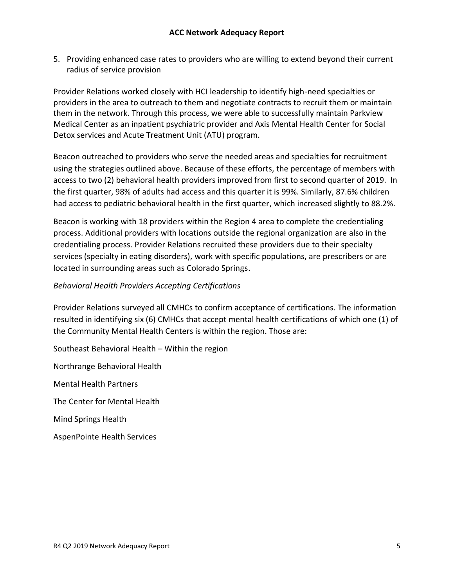5. Providing enhanced case rates to providers who are willing to extend beyond their current radius of service provision

Provider Relations worked closely with HCI leadership to identify high-need specialties or providers in the area to outreach to them and negotiate contracts to recruit them or maintain them in the network. Through this process, we were able to successfully maintain Parkview Medical Center as an inpatient psychiatric provider and Axis Mental Health Center for Social Detox services and Acute Treatment Unit (ATU) program.

Beacon outreached to providers who serve the needed areas and specialties for recruitment using the strategies outlined above. Because of these efforts, the percentage of members with access to two (2) behavioral health providers improved from first to second quarter of 2019. In the first quarter, 98% of adults had access and this quarter it is 99%. Similarly, 87.6% children had access to pediatric behavioral health in the first quarter, which increased slightly to 88.2%.

Beacon is working with 18 providers within the Region 4 area to complete the credentialing process. Additional providers with locations outside the regional organization are also in the credentialing process. Provider Relations recruited these providers due to their specialty services (specialty in eating disorders), work with specific populations, are prescribers or are located in surrounding areas such as Colorado Springs.

## *Behavioral Health Providers Accepting Certifications*

Provider Relations surveyed all CMHCs to confirm acceptance of certifications. The information resulted in identifying six (6) CMHCs that accept mental health certifications of which one (1) of the Community Mental Health Centers is within the region. Those are:

Southeast Behavioral Health – Within the region

Northrange Behavioral Health

Mental Health Partners

The Center for Mental Health

Mind Springs Health

AspenPointe Health Services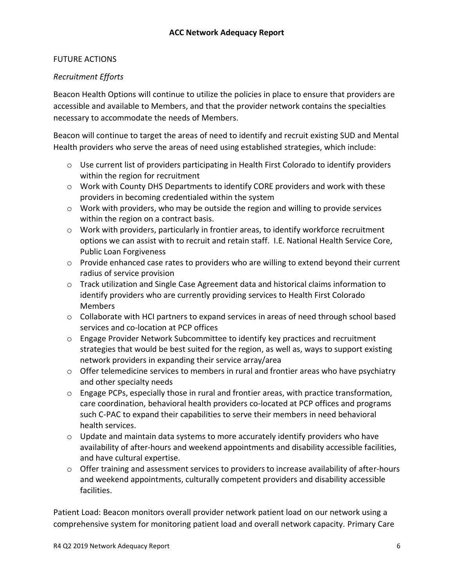## FUTURE ACTIONS

## *Recruitment Efforts*

Beacon Health Options will continue to utilize the policies in place to ensure that providers are accessible and available to Members, and that the provider network contains the specialties necessary to accommodate the needs of Members.

Beacon will continue to target the areas of need to identify and recruit existing SUD and Mental Health providers who serve the areas of need using established strategies, which include:

- $\circ$  Use current list of providers participating in Health First Colorado to identify providers within the region for recruitment
- $\circ$  Work with County DHS Departments to identify CORE providers and work with these providers in becoming credentialed within the system
- $\circ$  Work with providers, who may be outside the region and willing to provide services within the region on a contract basis.
- $\circ$  Work with providers, particularly in frontier areas, to identify workforce recruitment options we can assist with to recruit and retain staff. I.E. National Health Service Core, Public Loan Forgiveness
- $\circ$  Provide enhanced case rates to providers who are willing to extend beyond their current radius of service provision
- $\circ$  Track utilization and Single Case Agreement data and historical claims information to identify providers who are currently providing services to Health First Colorado Members
- $\circ$  Collaborate with HCI partners to expand services in areas of need through school based services and co-location at PCP offices
- $\circ$  Engage Provider Network Subcommittee to identify key practices and recruitment strategies that would be best suited for the region, as well as, ways to support existing network providers in expanding their service array/area
- $\circ$  Offer telemedicine services to members in rural and frontier areas who have psychiatry and other specialty needs
- $\circ$  Engage PCPs, especially those in rural and frontier areas, with practice transformation, care coordination, behavioral health providers co-located at PCP offices and programs such C-PAC to expand their capabilities to serve their members in need behavioral health services.
- $\circ$  Update and maintain data systems to more accurately identify providers who have availability of after-hours and weekend appointments and disability accessible facilities, and have cultural expertise.
- $\circ$  Offer training and assessment services to providers to increase availability of after-hours and weekend appointments, culturally competent providers and disability accessible facilities.

Patient Load: Beacon monitors overall provider network patient load on our network using a comprehensive system for monitoring patient load and overall network capacity. Primary Care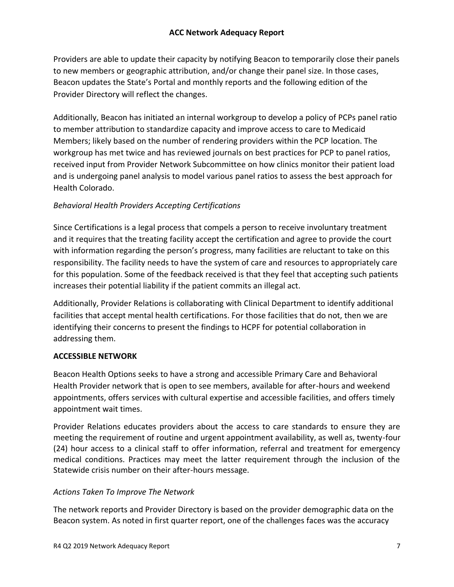Providers are able to update their capacity by notifying Beacon to temporarily close their panels to new members or geographic attribution, and/or change their panel size. In those cases, Beacon updates the State's Portal and monthly reports and the following edition of the Provider Directory will reflect the changes.

Additionally, Beacon has initiated an internal workgroup to develop a policy of PCPs panel ratio to member attribution to standardize capacity and improve access to care to Medicaid Members; likely based on the number of rendering providers within the PCP location. The workgroup has met twice and has reviewed journals on best practices for PCP to panel ratios, received input from Provider Network Subcommittee on how clinics monitor their patient load and is undergoing panel analysis to model various panel ratios to assess the best approach for Health Colorado.

# *Behavioral Health Providers Accepting Certifications*

Since Certifications is a legal process that compels a person to receive involuntary treatment and it requires that the treating facility accept the certification and agree to provide the court with information regarding the person's progress, many facilities are reluctant to take on this responsibility. The facility needs to have the system of care and resources to appropriately care for this population. Some of the feedback received is that they feel that accepting such patients increases their potential liability if the patient commits an illegal act.

Additionally, Provider Relations is collaborating with Clinical Department to identify additional facilities that accept mental health certifications. For those facilities that do not, then we are identifying their concerns to present the findings to HCPF for potential collaboration in addressing them.

# **ACCESSIBLE NETWORK**

Beacon Health Options seeks to have a strong and accessible Primary Care and Behavioral Health Provider network that is open to see members, available for after-hours and weekend appointments, offers services with cultural expertise and accessible facilities, and offers timely appointment wait times.

Provider Relations educates providers about the access to care standards to ensure they are meeting the requirement of routine and urgent appointment availability, as well as, twenty-four (24) hour access to a clinical staff to offer information, referral and treatment for emergency medical conditions. Practices may meet the latter requirement through the inclusion of the Statewide crisis number on their after-hours message.

# *Actions Taken To Improve The Network*

The network reports and Provider Directory is based on the provider demographic data on the Beacon system. As noted in first quarter report, one of the challenges faces was the accuracy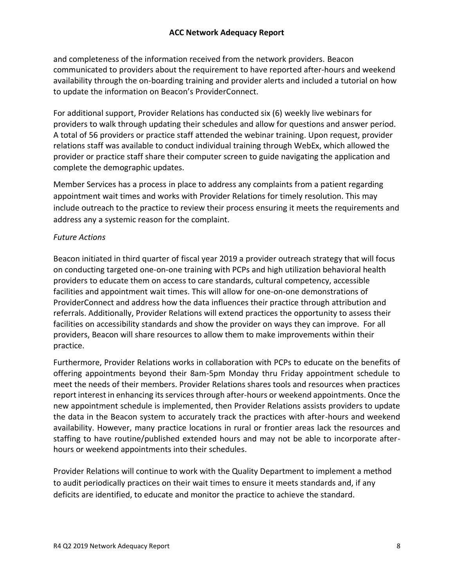and completeness of the information received from the network providers. Beacon communicated to providers about the requirement to have reported after-hours and weekend availability through the on-boarding training and provider alerts and included a tutorial on how to update the information on Beacon's ProviderConnect.

For additional support, Provider Relations has conducted six (6) weekly live webinars for providers to walk through updating their schedules and allow for questions and answer period. A total of 56 providers or practice staff attended the webinar training. Upon request, provider relations staff was available to conduct individual training through WebEx, which allowed the provider or practice staff share their computer screen to guide navigating the application and complete the demographic updates.

Member Services has a process in place to address any complaints from a patient regarding appointment wait times and works with Provider Relations for timely resolution. This may include outreach to the practice to review their process ensuring it meets the requirements and address any a systemic reason for the complaint.

#### *Future Actions*

Beacon initiated in third quarter of fiscal year 2019 a provider outreach strategy that will focus on conducting targeted one-on-one training with PCPs and high utilization behavioral health providers to educate them on access to care standards, cultural competency, accessible facilities and appointment wait times. This will allow for one-on-one demonstrations of ProviderConnect and address how the data influences their practice through attribution and referrals. Additionally, Provider Relations will extend practices the opportunity to assess their facilities on accessibility standards and show the provider on ways they can improve. For all providers, Beacon will share resources to allow them to make improvements within their practice.

Furthermore, Provider Relations works in collaboration with PCPs to educate on the benefits of offering appointments beyond their 8am-5pm Monday thru Friday appointment schedule to meet the needs of their members. Provider Relations shares tools and resources when practices report interest in enhancing its services through after-hours or weekend appointments. Once the new appointment schedule is implemented, then Provider Relations assists providers to update the data in the Beacon system to accurately track the practices with after-hours and weekend availability. However, many practice locations in rural or frontier areas lack the resources and staffing to have routine/published extended hours and may not be able to incorporate afterhours or weekend appointments into their schedules.

Provider Relations will continue to work with the Quality Department to implement a method to audit periodically practices on their wait times to ensure it meets standards and, if any deficits are identified, to educate and monitor the practice to achieve the standard.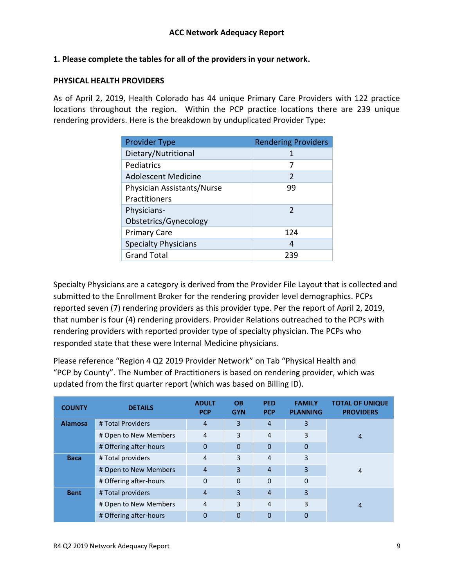### **1. Please complete the tables for all of the providers in your network.**

#### **PHYSICAL HEALTH PROVIDERS**

As of April 2, 2019, Health Colorado has 44 unique Primary Care Providers with 122 practice locations throughout the region. Within the PCP practice locations there are 239 unique rendering providers. Here is the breakdown by unduplicated Provider Type:

| <b>Provider Type</b>        | <b>Rendering Providers</b> |
|-----------------------------|----------------------------|
| Dietary/Nutritional         | 1                          |
| Pediatrics                  | 7                          |
| <b>Adolescent Medicine</b>  | $\mathfrak{D}$             |
| Physician Assistants/Nurse  | 99                         |
| Practitioners               |                            |
| Physicians-                 | $\mathcal{P}$              |
| Obstetrics/Gynecology       |                            |
| <b>Primary Care</b>         | 124                        |
| <b>Specialty Physicians</b> | 4                          |
| <b>Grand Total</b>          | 239                        |

Specialty Physicians are a category is derived from the Provider File Layout that is collected and submitted to the Enrollment Broker for the rendering provider level demographics. PCPs reported seven (7) rendering providers as this provider type. Per the report of April 2, 2019, that number is four (4) rendering providers. Provider Relations outreached to the PCPs with rendering providers with reported provider type of specialty physician. The PCPs who responded state that these were Internal Medicine physicians.

Please reference "Region 4 Q2 2019 Provider Network" on Tab "Physical Health and "PCP by County". The Number of Practitioners is based on rendering provider, which was updated from the first quarter report (which was based on Billing ID).

| <b>COUNTY</b>  | <b>DETAILS</b>         | <b>ADULT</b><br><b>PCP</b> | <b>OB</b><br><b>GYN</b> | <b>PED</b><br><b>PCP</b> | <b>FAMILY</b><br><b>PLANNING</b> | <b>TOTAL OF UNIQUE</b><br><b>PROVIDERS</b> |
|----------------|------------------------|----------------------------|-------------------------|--------------------------|----------------------------------|--------------------------------------------|
| <b>Alamosa</b> | # Total Providers      | $\overline{4}$             | 3                       | $\overline{4}$           | 3                                |                                            |
|                | # Open to New Members  | $\overline{4}$             | 3                       | 4                        | 3                                | 4                                          |
|                | # Offering after-hours | $\Omega$                   | $\Omega$                | $\overline{0}$           | $\overline{0}$                   |                                            |
| <b>Baca</b>    | # Total providers      | 4                          | 3                       | 4                        | 3                                |                                            |
|                | # Open to New Members  | $\overline{4}$             | 3                       | $\overline{4}$           | 3                                | 4                                          |
|                | # Offering after-hours | $\Omega$                   | $\Omega$                | 0                        | 0                                |                                            |
| <b>Bent</b>    | # Total providers      | $\overline{4}$             | 3                       | $\overline{4}$           | 3                                |                                            |
|                | # Open to New Members  | $\overline{4}$             | 3                       | 4                        | 3                                | 4                                          |
|                | # Offering after-hours | 0                          | 0                       | 0                        | 0                                |                                            |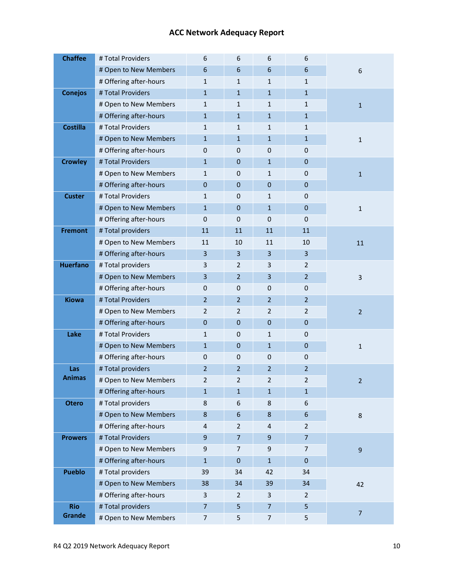| <b>Chaffee</b>  | # Total Providers      | 6                       | 6                | 6                       | 6              |                  |
|-----------------|------------------------|-------------------------|------------------|-------------------------|----------------|------------------|
|                 | # Open to New Members  | 6                       | 6                | 6                       | 6              | 6                |
|                 | # Offering after-hours | $\mathbf{1}$            | 1                | 1                       | $\mathbf{1}$   |                  |
| <b>Conejos</b>  | # Total Providers      | $\mathbf{1}$            | $\mathbf{1}$     | $\mathbf{1}$            | $\mathbf{1}$   |                  |
|                 | # Open to New Members  | $\mathbf{1}$            | 1                | $\mathbf{1}$            | $\mathbf{1}$   | $\mathbf{1}$     |
|                 | # Offering after-hours | $\mathbf{1}$            | $\mathbf{1}$     | $\mathbf{1}$            | $\mathbf{1}$   |                  |
| <b>Costilla</b> | # Total Providers      | $\mathbf{1}$            | $\mathbf{1}$     | $\mathbf{1}$            | $\mathbf{1}$   |                  |
|                 | # Open to New Members  | $\mathbf{1}$            | $\mathbf{1}$     | $\mathbf{1}$            | $\mathbf{1}$   | $\mathbf 1$      |
|                 | # Offering after-hours | 0                       | $\mathbf 0$      | $\mathbf 0$             | 0              |                  |
| <b>Crowley</b>  | # Total Providers      | $\mathbf{1}$            | $\boldsymbol{0}$ | $\mathbf{1}$            | $\pmb{0}$      |                  |
|                 | # Open to New Members  | $\mathbf{1}$            | $\mathbf 0$      | $\mathbf{1}$            | 0              | $\mathbf 1$      |
|                 | # Offering after-hours | $\mathbf 0$             | $\mathbf 0$      | $\mathbf{0}$            | $\mathbf{0}$   |                  |
| <b>Custer</b>   | # Total Providers      | $\mathbf{1}$            | $\mathbf 0$      | $\mathbf{1}$            | $\mathbf 0$    |                  |
|                 | # Open to New Members  | $\mathbf{1}$            | $\mathbf 0$      | $\mathbf{1}$            | $\pmb{0}$      | $\mathbf 1$      |
|                 | # Offering after-hours | 0                       | 0                | 0                       | 0              |                  |
| <b>Fremont</b>  | # Total providers      | 11                      | 11               | 11                      | 11             |                  |
|                 | # Open to New Members  | 11                      | 10               | 11                      | 10             | 11               |
|                 | # Offering after-hours | 3                       | 3                | 3                       | $\overline{3}$ |                  |
| <b>Huerfano</b> | # Total providers      | 3                       | $\overline{2}$   | 3                       | $\overline{2}$ |                  |
|                 | # Open to New Members  | $\overline{\mathbf{3}}$ | $\overline{2}$   | $\overline{\mathbf{3}}$ | $\overline{2}$ | $\mathbf{3}$     |
|                 | # Offering after-hours | 0                       | $\mathbf 0$      | $\mathbf 0$             | 0              |                  |
| <b>Kiowa</b>    | # Total Providers      | $\overline{2}$          | $\overline{2}$   | $\overline{2}$          | $\overline{2}$ |                  |
|                 | # Open to New Members  | $\overline{2}$          | $\overline{2}$   | $\overline{2}$          | $\overline{2}$ | $\overline{2}$   |
|                 | # Offering after-hours | $\pmb{0}$               | $\mathbf 0$      | $\mathbf{0}$            | $\pmb{0}$      |                  |
| Lake            | # Total Providers      | $\mathbf{1}$            | 0                | 1                       | 0              |                  |
|                 | # Open to New Members  | $\mathbf{1}$            | $\mathbf 0$      | $\mathbf{1}$            | $\pmb{0}$      | $\mathbf{1}$     |
|                 | # Offering after-hours | 0                       | $\boldsymbol{0}$ | 0                       | 0              |                  |
| Las             | # Total providers      | $\overline{2}$          | $\overline{2}$   | $\overline{2}$          | $\overline{2}$ |                  |
| <b>Animas</b>   | # Open to New Members  | $\overline{2}$          | $\overline{2}$   | 2                       | $\overline{2}$ | $\overline{2}$   |
|                 | # Offering after-hours | $\mathbf 1$             | $\mathbf{1}$     | $\mathbf{1}$            | $\mathbf{1}$   |                  |
| <b>Otero</b>    | # Total providers      | 8                       | 6                | 8                       | 6              |                  |
|                 | # Open to New Members  | $\bf 8$                 | $\boldsymbol{6}$ | $\bf 8$                 | 6              | $\bf 8$          |
|                 | # Offering after-hours | 4                       | $\overline{2}$   | $\overline{a}$          | $\overline{2}$ |                  |
| <b>Prowers</b>  | # Total Providers      | 9                       | $\overline{7}$   | 9                       | $\overline{7}$ |                  |
|                 | # Open to New Members  | 9                       | 7                | $\boldsymbol{9}$        | $\overline{7}$ | $\boldsymbol{9}$ |
|                 | # Offering after-hours | $\mathbf{1}$            | $\mathbf 0$      | $\mathbf{1}$            | $\pmb{0}$      |                  |
| <b>Pueblo</b>   | # Total providers      | 39                      | 34               | 42                      | 34             |                  |
|                 | # Open to New Members  | 38                      | 34               | 39                      | 34             | 42               |
|                 | # Offering after-hours | 3                       | $\overline{2}$   | $\mathsf{3}$            | $\overline{2}$ |                  |
| <b>Rio</b>      | # Total providers      | $\overline{7}$          | 5                | $\overline{7}$          | 5              | $\overline{7}$   |
| Grande          | # Open to New Members  | $\overline{7}$          | 5                | $\overline{7}$          | 5              |                  |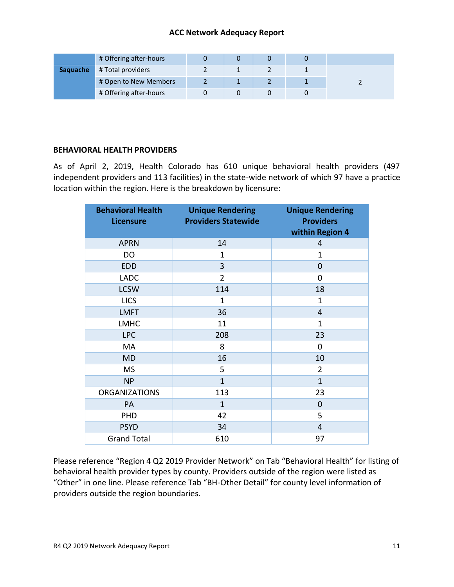|                 | # Offering after-hours |  |  |  |
|-----------------|------------------------|--|--|--|
| <b>Saquache</b> | # Total providers      |  |  |  |
|                 | # Open to New Members  |  |  |  |
|                 | # Offering after-hours |  |  |  |

#### **BEHAVIORAL HEALTH PROVIDERS**

As of April 2, 2019, Health Colorado has 610 unique behavioral health providers (497 independent providers and 113 facilities) in the state-wide network of which 97 have a practice location within the region. Here is the breakdown by licensure:

| <b>Behavioral Health</b><br><b>Licensure</b> | <b>Unique Rendering</b><br><b>Providers Statewide</b> | <b>Unique Rendering</b><br><b>Providers</b><br>within Region 4 |
|----------------------------------------------|-------------------------------------------------------|----------------------------------------------------------------|
| <b>APRN</b>                                  | 14                                                    | 4                                                              |
| DO                                           | $\mathbf 1$                                           | $\mathbf 1$                                                    |
| <b>EDD</b>                                   | 3                                                     | $\mathbf 0$                                                    |
| <b>LADC</b>                                  | $\overline{2}$                                        | $\overline{0}$                                                 |
| <b>LCSW</b>                                  | 114                                                   | 18                                                             |
| <b>LICS</b>                                  | $\mathbf 1$                                           | $\mathbf 1$                                                    |
| <b>LMFT</b>                                  | 36                                                    | $\overline{4}$                                                 |
| <b>LMHC</b>                                  | 11                                                    | $\mathbf 1$                                                    |
| <b>LPC</b>                                   | 208                                                   | 23                                                             |
| МA                                           | 8                                                     | 0                                                              |
| <b>MD</b>                                    | 16                                                    | 10                                                             |
| <b>MS</b>                                    | 5                                                     | $\overline{2}$                                                 |
| <b>NP</b>                                    | $\mathbf{1}$                                          | $\mathbf{1}$                                                   |
| <b>ORGANIZATIONS</b>                         | 113                                                   | 23                                                             |
| PA                                           | $\mathbf{1}$                                          | $\mathbf 0$                                                    |
| PHD                                          | 42                                                    | 5                                                              |
| <b>PSYD</b>                                  | 34                                                    | 4                                                              |
| <b>Grand Total</b>                           | 610                                                   | 97                                                             |

Please reference "Region 4 Q2 2019 Provider Network" on Tab "Behavioral Health" for listing of behavioral health provider types by county. Providers outside of the region were listed as "Other" in one line. Please reference Tab "BH-Other Detail" for county level information of providers outside the region boundaries.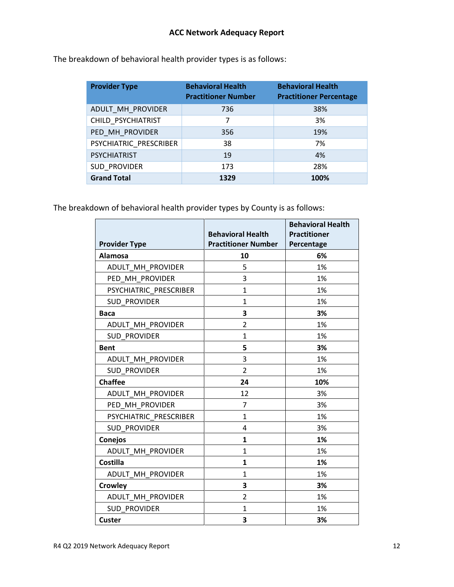| <b>Provider Type</b>   | <b>Behavioral Health</b><br><b>Practitioner Number</b> | <b>Behavioral Health</b><br><b>Practitioner Percentage</b> |
|------------------------|--------------------------------------------------------|------------------------------------------------------------|
| ADULT MH PROVIDER      | 736                                                    | 38%                                                        |
| CHILD PSYCHIATRIST     | 7                                                      | 3%                                                         |
| PED MH PROVIDER        | 356                                                    | 19%                                                        |
| PSYCHIATRIC PRESCRIBER | 38                                                     | 7%                                                         |
| <b>PSYCHIATRIST</b>    | 19                                                     | 4%                                                         |
| SUD PROVIDER           | 173                                                    | 28%                                                        |
| <b>Grand Total</b>     | 1329                                                   | 100%                                                       |

The breakdown of behavioral health provider types is as follows:

The breakdown of behavioral health provider types by County is as follows:

|                        |                            | <b>Behavioral Health</b> |
|------------------------|----------------------------|--------------------------|
|                        | <b>Behavioral Health</b>   | <b>Practitioner</b>      |
| <b>Provider Type</b>   | <b>Practitioner Number</b> | Percentage               |
| Alamosa                | 10                         | 6%                       |
| ADULT MH PROVIDER      | 5                          | 1%                       |
| PED MH PROVIDER        | 3                          | 1%                       |
| PSYCHIATRIC_PRESCRIBER | $\mathbf{1}$               | 1%                       |
| <b>SUD PROVIDER</b>    | $\mathbf{1}$               | 1%                       |
| <b>Baca</b>            | 3                          | 3%                       |
| ADULT MH PROVIDER      | 2                          | 1%                       |
| <b>SUD PROVIDER</b>    | $\mathbf{1}$               | 1%                       |
| <b>Bent</b>            | 5                          | 3%                       |
| ADULT_MH_PROVIDER      | 3                          | 1%                       |
| <b>SUD PROVIDER</b>    | $\overline{2}$             | 1%                       |
| <b>Chaffee</b>         | 24                         | 10%                      |
| ADULT MH PROVIDER      | 12                         | 3%                       |
| PED MH PROVIDER        | $\overline{7}$             | 3%                       |
| PSYCHIATRIC PRESCRIBER | $\mathbf{1}$               | 1%                       |
| <b>SUD PROVIDER</b>    | 4                          | 3%                       |
| <b>Conejos</b>         | $\mathbf{1}$               | 1%                       |
| ADULT MH PROVIDER      | $\mathbf{1}$               | 1%                       |
| <b>Costilla</b>        | $\mathbf{1}$               | 1%                       |
| ADULT MH PROVIDER      | $\mathbf{1}$               | 1%                       |
| <b>Crowley</b>         | 3                          | 3%                       |
| ADULT MH PROVIDER      | $\overline{2}$             | 1%                       |
| <b>SUD PROVIDER</b>    | $\mathbf{1}$               | 1%                       |
| <b>Custer</b>          | 3                          | 3%                       |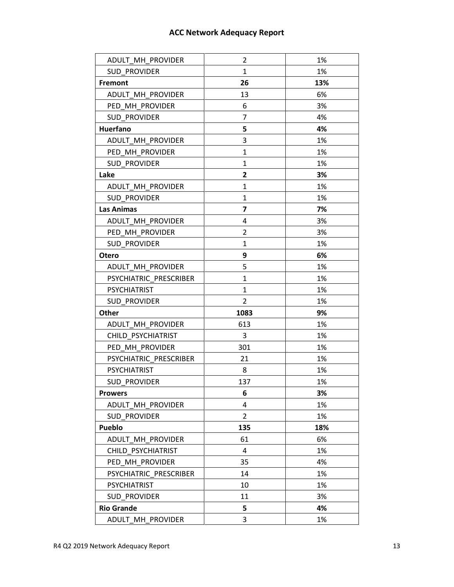| ADULT MH PROVIDER      | 2              | 1%  |
|------------------------|----------------|-----|
| <b>SUD PROVIDER</b>    | $\mathbf{1}$   | 1%  |
| <b>Fremont</b>         | 26             | 13% |
| ADULT MH PROVIDER      | 13             | 6%  |
| PED MH PROVIDER        | 6              | 3%  |
| <b>SUD PROVIDER</b>    | 7              | 4%  |
| Huerfano               | 5              | 4%  |
| ADULT MH PROVIDER      | 3              | 1%  |
| PED MH PROVIDER        | $\mathbf{1}$   | 1%  |
| <b>SUD PROVIDER</b>    | $\mathbf{1}$   | 1%  |
| Lake                   | 2              | 3%  |
| ADULT MH PROVIDER      | 1              | 1%  |
| <b>SUD PROVIDER</b>    | $\mathbf{1}$   | 1%  |
| <b>Las Animas</b>      | 7              | 7%  |
| ADULT MH PROVIDER      | 4              | 3%  |
| PED MH PROVIDER        | 2              | 3%  |
| <b>SUD PROVIDER</b>    | $\mathbf{1}$   | 1%  |
| Otero                  | 9              | 6%  |
| ADULT MH PROVIDER      | 5              | 1%  |
| PSYCHIATRIC PRESCRIBER | $\mathbf{1}$   | 1%  |
| <b>PSYCHIATRIST</b>    | 1              | 1%  |
| SUD PROVIDER           | $\overline{2}$ | 1%  |
| Other                  | 1083           | 9%  |
| ADULT MH PROVIDER      | 613            | 1%  |
| CHILD PSYCHIATRIST     | 3              | 1%  |
| PED MH PROVIDER        | 301            | 1%  |
| PSYCHIATRIC PRESCRIBER | 21             | 1%  |
| <b>PSYCHIATRIST</b>    | 8              | 1%  |
| <b>SUD PROVIDER</b>    | 137            | 1%  |
| <b>Prowers</b>         | 6              | 3%  |
| ADULT MH PROVIDER      | 4              | 1%  |
| <b>SUD PROVIDER</b>    | $\overline{2}$ | 1%  |
| Pueblo                 | 135            | 18% |
| ADULT MH PROVIDER      | 61             | 6%  |
| CHILD PSYCHIATRIST     | 4              | 1%  |
| PED MH PROVIDER        | 35             | 4%  |
| PSYCHIATRIC PRESCRIBER | 14             | 1%  |
| <b>PSYCHIATRIST</b>    | 10             | 1%  |
| SUD PROVIDER           | 11             | 3%  |
| <b>Rio Grande</b>      | 5              | 4%  |
| ADULT MH PROVIDER      | 3              | 1%  |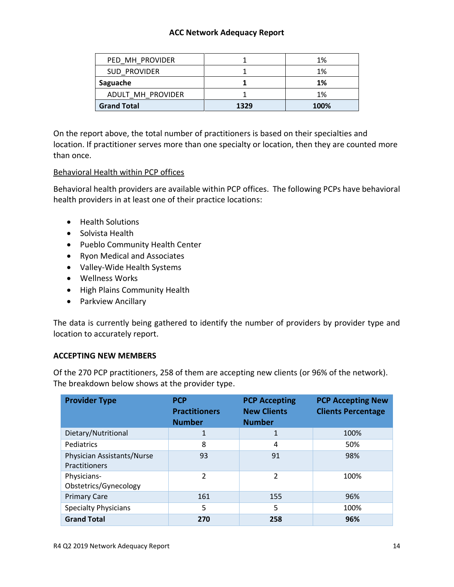| PED MH PROVIDER    |      | 1%   |
|--------------------|------|------|
| SUD PROVIDER       |      | 1%   |
| Saguache           |      | 1%   |
| ADULT MH PROVIDER  |      | 1%   |
| <b>Grand Total</b> | 1329 | 100% |

On the report above, the total number of practitioners is based on their specialties and location. If practitioner serves more than one specialty or location, then they are counted more than once.

#### Behavioral Health within PCP offices

Behavioral health providers are available within PCP offices. The following PCPs have behavioral health providers in at least one of their practice locations:

- Health Solutions
- Solvista Health
- Pueblo Community Health Center
- Ryon Medical and Associates
- Valley-Wide Health Systems
- Wellness Works
- High Plains Community Health
- Parkview Ancillary

The data is currently being gathered to identify the number of providers by provider type and location to accurately report.

#### **ACCEPTING NEW MEMBERS**

Of the 270 PCP practitioners, 258 of them are accepting new clients (or 96% of the network). The breakdown below shows at the provider type.

| <b>Provider Type</b>                               | <b>PCP</b><br><b>Practitioners</b><br><b>Number</b> | <b>PCP Accepting</b><br><b>New Clients</b><br><b>Number</b> | <b>PCP Accepting New</b><br><b>Clients Percentage</b> |
|----------------------------------------------------|-----------------------------------------------------|-------------------------------------------------------------|-------------------------------------------------------|
| Dietary/Nutritional                                | 1                                                   | 1                                                           | 100%                                                  |
| Pediatrics                                         | 8                                                   | 4                                                           | 50%                                                   |
| Physician Assistants/Nurse<br><b>Practitioners</b> | 93                                                  | 91                                                          | 98%                                                   |
| Physicians-<br>Obstetrics/Gynecology               | C                                                   | $\mathfrak{p}$                                              | 100%                                                  |
| <b>Primary Care</b>                                | 161                                                 | 155                                                         | 96%                                                   |
| <b>Specialty Physicians</b>                        | 5                                                   | 5                                                           | 100%                                                  |
| <b>Grand Total</b>                                 | 270                                                 | 258                                                         | 96%                                                   |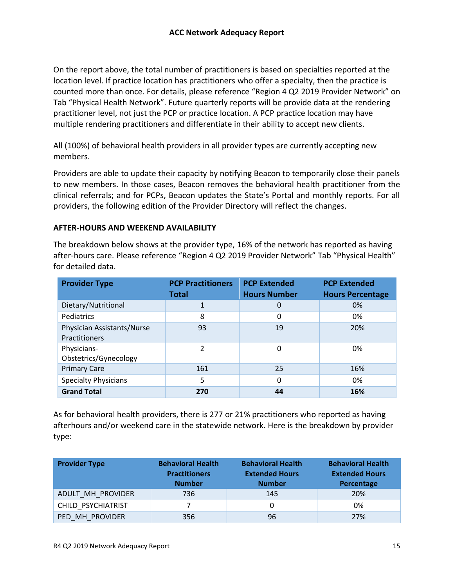On the report above, the total number of practitioners is based on specialties reported at the location level. If practice location has practitioners who offer a specialty, then the practice is counted more than once. For details, please reference "Region 4 Q2 2019 Provider Network" on Tab "Physical Health Network". Future quarterly reports will be provide data at the rendering practitioner level, not just the PCP or practice location. A PCP practice location may have multiple rendering practitioners and differentiate in their ability to accept new clients.

All (100%) of behavioral health providers in all provider types are currently accepting new members.

Providers are able to update their capacity by notifying Beacon to temporarily close their panels to new members. In those cases, Beacon removes the behavioral health practitioner from the clinical referrals; and for PCPs, Beacon updates the State's Portal and monthly reports. For all providers, the following edition of the Provider Directory will reflect the changes.

#### **AFTER-HOURS AND WEEKEND AVAILABILITY**

The breakdown below shows at the provider type, 16% of the network has reported as having after-hours care. Please reference "Region 4 Q2 2019 Provider Network" Tab "Physical Health" for detailed data.

| <b>Provider Type</b>                        | <b>PCP Practitioners</b><br><b>Total</b> | <b>PCP Extended</b><br><b>Hours Number</b> | <b>PCP Extended</b><br><b>Hours Percentage</b> |
|---------------------------------------------|------------------------------------------|--------------------------------------------|------------------------------------------------|
| Dietary/Nutritional                         | 1                                        | 0                                          | 0%                                             |
| Pediatrics                                  | 8                                        | 0                                          | 0%                                             |
| Physician Assistants/Nurse<br>Practitioners | 93                                       | 19                                         | 20%                                            |
| Physicians-<br>Obstetrics/Gynecology        | 2                                        | 0                                          | 0%                                             |
| <b>Primary Care</b>                         | 161                                      | 25                                         | 16%                                            |
| <b>Specialty Physicians</b>                 | 5                                        | 0                                          | 0%                                             |
| <b>Grand Total</b>                          | 270                                      | 44                                         | 16%                                            |

As for behavioral health providers, there is 277 or 21% practitioners who reported as having afterhours and/or weekend care in the statewide network. Here is the breakdown by provider type:

| <b>Provider Type</b> | <b>Behavioral Health</b><br><b>Practitioners</b><br><b>Number</b> | <b>Behavioral Health</b><br><b>Extended Hours</b><br><b>Number</b> | <b>Behavioral Health</b><br><b>Extended Hours</b><br>Percentage |
|----------------------|-------------------------------------------------------------------|--------------------------------------------------------------------|-----------------------------------------------------------------|
| ADULT MH PROVIDER    | 736                                                               | 145                                                                | <b>20%</b>                                                      |
| CHILD PSYCHIATRIST   |                                                                   |                                                                    | 0%                                                              |
| PED MH PROVIDER      | 356                                                               | 96                                                                 | 27%                                                             |